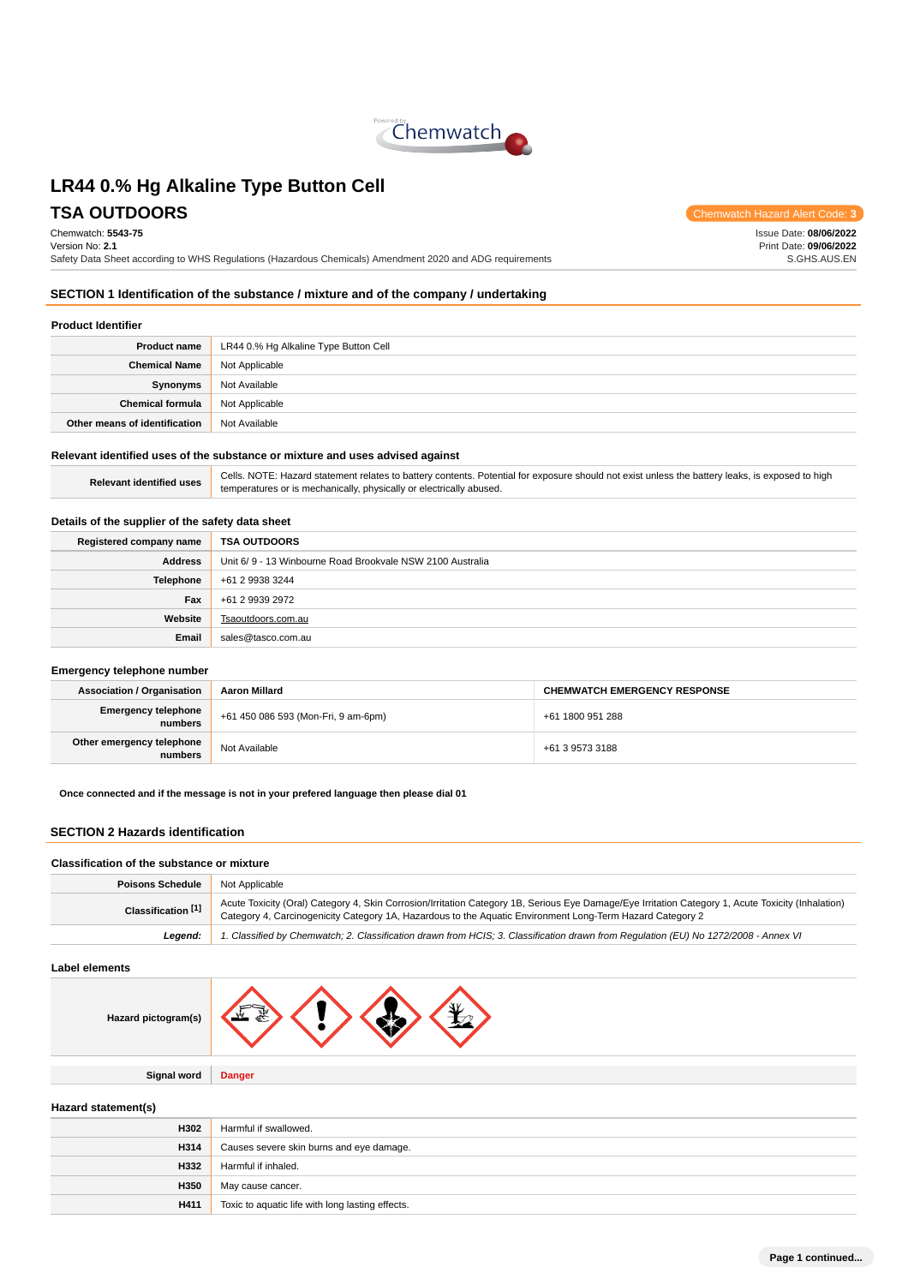

**TSA OUTDOORS** Chemwatch Hazard Alert Code

Chemwatch: **5543-75** Version No: **2.1** Safety Data Sheet according to WHS Regulations (Hazardous Chemicals) Amendment 2020 and ADG requirements

Issue Date: **08/06/2022** Print Date: **09/06/2022** S.GHS.AUS.EN

# **SECTION 1 Identification of the substance / mixture and of the company / undertaking**

### **Product Identifier**

| <b>Product name</b>                    | LR44 0.% Hg Alkaline Type Button Cell |  |
|----------------------------------------|---------------------------------------|--|
| <b>Chemical Name</b><br>Not Applicable |                                       |  |
| Synonyms                               | Not Available                         |  |
| <b>Chemical formula</b>                | Not Applicable                        |  |
| Other means of identification          | Not Available                         |  |

### **Relevant identified uses of the substance or mixture and uses advised against**

|                                 | Cells, NO |
|---------------------------------|-----------|
| <b>Relevant identified uses</b> | temperatu |

**TE: Hazard statement relates to battery contents. Potential for exposure should not exist unless the battery leaks, is exposed to high** ures or is mechanically, physically or electrically abused.

### **Details of the supplier of the safety data sheet**

| Registered company name | <b>TSA OUTDOORS</b>                                       |  |
|-------------------------|-----------------------------------------------------------|--|
| <b>Address</b>          | Unit 6/9 - 13 Winbourne Road Brookvale NSW 2100 Australia |  |
| <b>Telephone</b>        | +61 2 9938 3244                                           |  |
| Fax                     | +61 2 9939 2972                                           |  |
| Website                 | Tsaoutdoors.com.au                                        |  |
| Email                   | sales@tasco.com.au                                        |  |

#### **Emergency telephone number**

| <b>Association / Organisation</b>    | <b>Aaron Millard</b>                | <b>CHEMWATCH EMERGENCY RESPONSE</b> |  |
|--------------------------------------|-------------------------------------|-------------------------------------|--|
| Emergency telephone<br>numbers       | +61 450 086 593 (Mon-Fri, 9 am-6pm) | +61 1800 951 288                    |  |
| Other emergency telephone<br>numbers | Not Available                       | +61 3 9573 3188                     |  |

**Once connected and if the message is not in your prefered language then please dial 01**

### **SECTION 2 Hazards identification**

#### **Classification of the substance or mixture**

| <b>Poisons Schedule</b> | Not Applicable                                                                                                                                                                                                                                                  |
|-------------------------|-----------------------------------------------------------------------------------------------------------------------------------------------------------------------------------------------------------------------------------------------------------------|
| Classification [1]      | Acute Toxicity (Oral) Category 4, Skin Corrosion/Irritation Category 1B, Serious Eye Damage/Eye Irritation Category 1, Acute Toxicity (Inhalation)<br>Category 4, Carcinogenicity Category 1A, Hazardous to the Aquatic Environment Long-Term Hazard Category 2 |
| Leaend:                 | 1. Classified by Chemwatch; 2. Classification drawn from HCIS; 3. Classification drawn from Regulation (EU) No 1272/2008 - Annex VI                                                                                                                             |

#### **Label elements**

| Hazard pictogram(s) | W |  |  |  |
|---------------------|---|--|--|--|
|---------------------|---|--|--|--|

**Signal word Danger**

### **Hazard statement(s)**

| H302 | Harmful if swallowed.                            |
|------|--------------------------------------------------|
| H314 | Causes severe skin burns and eye damage.         |
| H332 | Harmful if inhaled.                              |
| H350 | May cause cancer.                                |
| H411 | Toxic to aquatic life with long lasting effects. |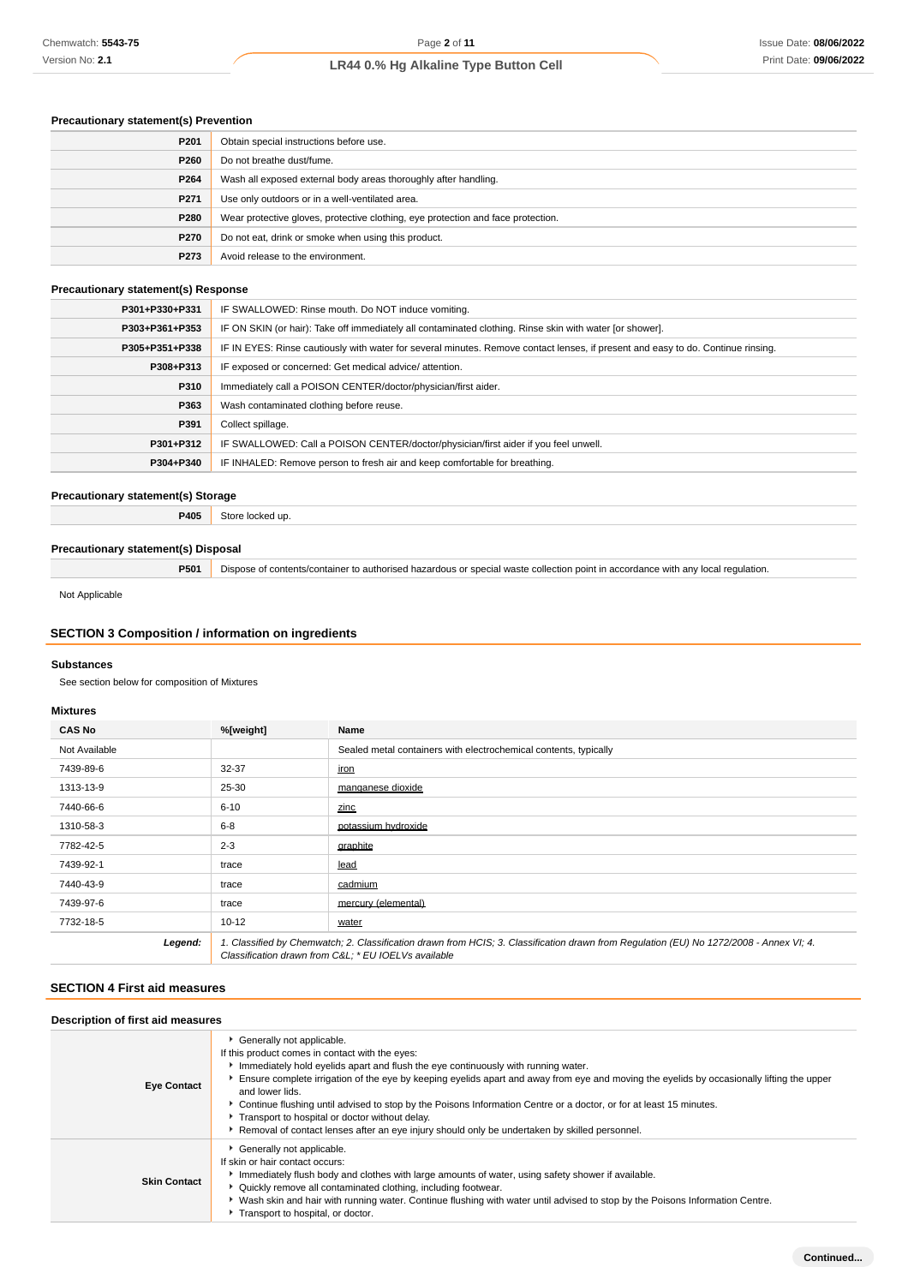# **Precautionary statement(s) Prevention**

| P <sub>201</sub>                                                        | Obtain special instructions before use.                                          |  |
|-------------------------------------------------------------------------|----------------------------------------------------------------------------------|--|
| P260                                                                    | Do not breathe dust/fume.                                                        |  |
| P264<br>Wash all exposed external body areas thoroughly after handling. |                                                                                  |  |
| P <sub>271</sub>                                                        | Use only outdoors or in a well-ventilated area.                                  |  |
| P280                                                                    | Wear protective gloves, protective clothing, eye protection and face protection. |  |
| P270                                                                    | Do not eat, drink or smoke when using this product.                              |  |
| P273                                                                    | Avoid release to the environment.                                                |  |

# **Precautionary statement(s) Response**

| P301+P330+P331 | IF SWALLOWED: Rinse mouth. Do NOT induce vomiting.                                                                               |
|----------------|----------------------------------------------------------------------------------------------------------------------------------|
| P303+P361+P353 | IF ON SKIN (or hair): Take off immediately all contaminated clothing. Rinse skin with water [or shower].                         |
| P305+P351+P338 | IF IN EYES: Rinse cautiously with water for several minutes. Remove contact lenses, if present and easy to do. Continue rinsing. |
| P308+P313      | IF exposed or concerned: Get medical advice/attention.                                                                           |
| P310           | Immediately call a POISON CENTER/doctor/physician/first aider.                                                                   |
| P363           | Wash contaminated clothing before reuse.                                                                                         |
| P391           | Collect spillage.                                                                                                                |
| P301+P312      | IF SWALLOWED: Call a POISON CENTER/doctor/physician/first aider if you feel unwell.                                              |
| P304+P340      | IF INHALED: Remove person to fresh air and keep comfortable for breathing.                                                       |
|                |                                                                                                                                  |

### **Precautionary statement(s) Storage**

**P405** Store locked up.

### **Precautionary statement(s) Disposal**

**P501** Dispose of contents/container to authorised hazardous or special waste collection point in accordance with any local regulation.

Not Applicable

# **SECTION 3 Composition / information on ingredients**

### **Substances**

See section below for composition of Mixtures

### **Mixtures**

| <b>CAS No</b> | %[weight] | Name                                                                                                                                                                                           |
|---------------|-----------|------------------------------------------------------------------------------------------------------------------------------------------------------------------------------------------------|
| Not Available |           | Sealed metal containers with electrochemical contents, typically                                                                                                                               |
| 7439-89-6     | 32-37     | iron                                                                                                                                                                                           |
| 1313-13-9     | 25-30     | manganese dioxide                                                                                                                                                                              |
| 7440-66-6     | $6 - 10$  | zinc                                                                                                                                                                                           |
| 1310-58-3     | $6 - 8$   | potassium hydroxide                                                                                                                                                                            |
| 7782-42-5     | $2 - 3$   | graphite                                                                                                                                                                                       |
| 7439-92-1     | trace     | lead                                                                                                                                                                                           |
| 7440-43-9     | trace     | cadmium                                                                                                                                                                                        |
| 7439-97-6     | trace     | mercury (elemental)                                                                                                                                                                            |
| 7732-18-5     | $10 - 12$ | water                                                                                                                                                                                          |
| Legend:       |           | 1. Classified by Chemwatch; 2. Classification drawn from HCIS; 3. Classification drawn from Regulation (EU) No 1272/2008 - Annex VI; 4.<br>Classification drawn from C&L * EU IOELVs available |

### **SECTION 4 First aid measures**

| Description of first aid measures |                                                                                                                                                                                                                                                                                                                                                                                                                                                                                                                                                                                                              |  |  |  |
|-----------------------------------|--------------------------------------------------------------------------------------------------------------------------------------------------------------------------------------------------------------------------------------------------------------------------------------------------------------------------------------------------------------------------------------------------------------------------------------------------------------------------------------------------------------------------------------------------------------------------------------------------------------|--|--|--|
| <b>Eye Contact</b>                | Generally not applicable.<br>If this product comes in contact with the eyes:<br>Immediately hold eyelids apart and flush the eye continuously with running water.<br>Ensure complete irrigation of the eye by keeping eyelids apart and away from eye and moving the eyelids by occasionally lifting the upper<br>and lower lids.<br>▶ Continue flushing until advised to stop by the Poisons Information Centre or a doctor, or for at least 15 minutes.<br>Transport to hospital or doctor without delay.<br>Removal of contact lenses after an eye injury should only be undertaken by skilled personnel. |  |  |  |
| <b>Skin Contact</b>               | Generally not applicable.<br>If skin or hair contact occurs:<br>Immediately flush body and clothes with large amounts of water, using safety shower if available.<br>• Quickly remove all contaminated clothing, including footwear.<br>▶ Wash skin and hair with running water. Continue flushing with water until advised to stop by the Poisons Information Centre.<br>Transport to hospital, or doctor.                                                                                                                                                                                                  |  |  |  |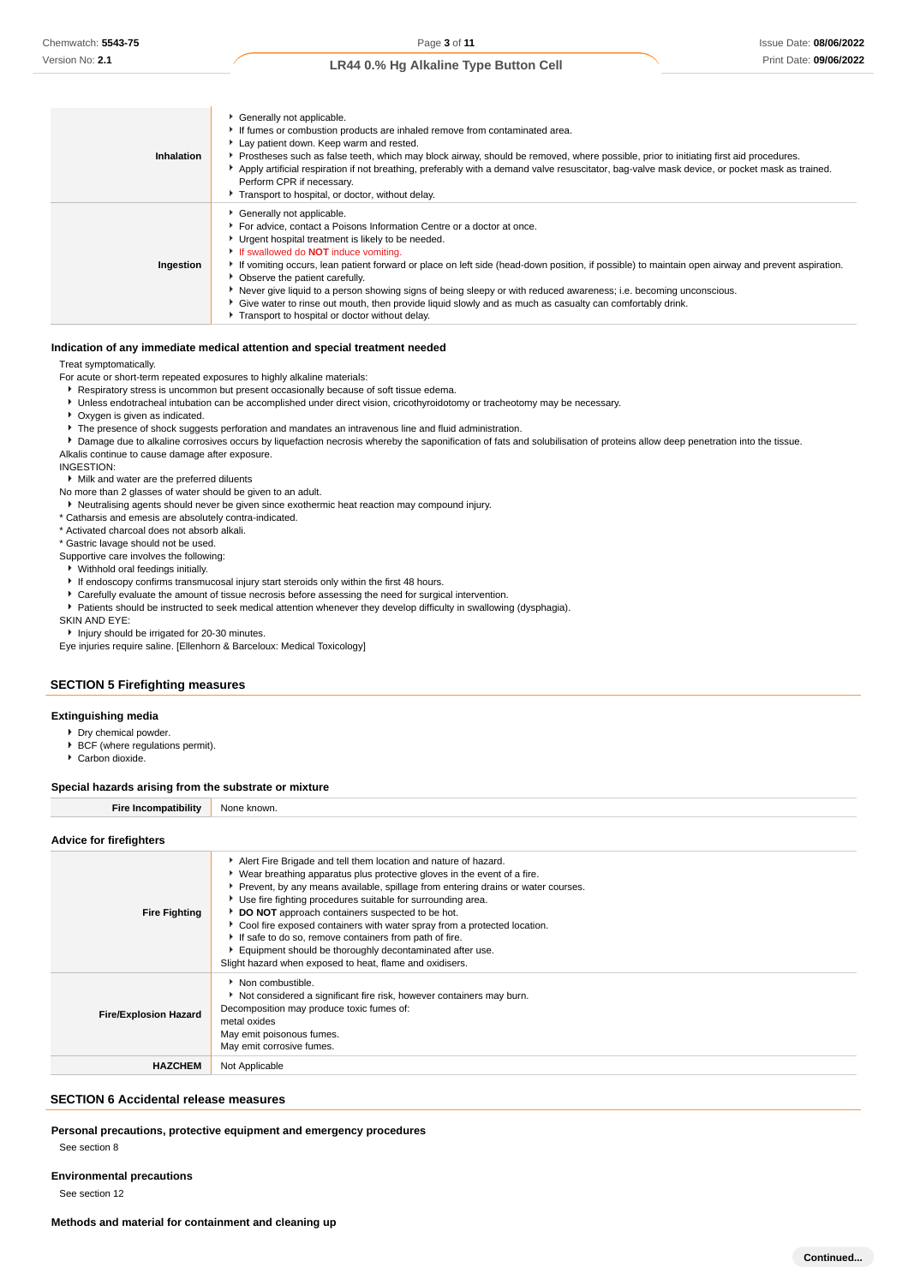| <b>Inhalation</b> | Generally not applicable.<br>If fumes or combustion products are inhaled remove from contaminated area.<br>Lay patient down. Keep warm and rested.<br>Prostheses such as false teeth, which may block airway, should be removed, where possible, prior to initiating first aid procedures.<br>Apply artificial respiration if not breathing, preferably with a demand valve resuscitator, bag-valve mask device, or pocket mask as trained.<br>Perform CPR if necessary.<br>Transport to hospital, or doctor, without delay.                                                                                                                                                            |
|-------------------|-----------------------------------------------------------------------------------------------------------------------------------------------------------------------------------------------------------------------------------------------------------------------------------------------------------------------------------------------------------------------------------------------------------------------------------------------------------------------------------------------------------------------------------------------------------------------------------------------------------------------------------------------------------------------------------------|
| Ingestion         | Generally not applicable.<br>For advice, contact a Poisons Information Centre or a doctor at once.<br>• Urgent hospital treatment is likely to be needed.<br>If swallowed do <b>NOT</b> induce vomiting.<br>If vomiting occurs, lean patient forward or place on left side (head-down position, if possible) to maintain open airway and prevent aspiration.<br>• Observe the patient carefully.<br>Never give liquid to a person showing signs of being sleepy or with reduced awareness; i.e. becoming unconscious.<br>• Give water to rinse out mouth, then provide liquid slowly and as much as casualty can comfortably drink.<br>F Transport to hospital or doctor without delay. |

#### **Indication of any immediate medical attention and special treatment needed**

Treat symptomatically.

For acute or short-term repeated exposures to highly alkaline materials:

- **Respiratory stress is uncommon but present occasionally because of soft tissue edema.**
- Unless endotracheal intubation can be accomplished under direct vision, cricothyroidotomy or tracheotomy may be necessary.
- Oxygen is given as indicated.
- The presence of shock suggests perforation and mandates an intravenous line and fluid administration.
- Damage due to alkaline corrosives occurs by liquefaction necrosis whereby the saponification of fats and solubilisation of proteins allow deep penetration into the tissue.

Alkalis continue to cause damage after exposure.

INGESTION:

- Milk and water are the preferred diluents
- No more than 2 glasses of water should be given to an adult.
- Neutralising agents should never be given since exothermic heat reaction may compound injury.
- \* Catharsis and emesis are absolutely contra-indicated.
- \* Activated charcoal does not absorb alkali.
- \* Gastric lavage should not be used.
- Supportive care involves the following:
- Withhold oral feedings initially.
- If endoscopy confirms transmucosal injury start steroids only within the first 48 hours.
- Carefully evaluate the amount of tissue necrosis before assessing the need for surgical intervention.
- Patients should be instructed to seek medical attention whenever they develop difficulty in swallowing (dysphagia).

SKIN AND EYE:

**Injury should be irrigated for 20-30 minutes.** 

Eye injuries require saline. [Ellenhorn & Barceloux: Medical Toxicology]

### **SECTION 5 Firefighting measures**

#### **Extinguishing media**

- Dry chemical powder.
- **BCF** (where regulations permit).
- ▶ Carbon dioxide.

#### **Special hazards arising from the substrate or mixture**

**Fire Incompatibility** None known.

#### **Advice for firefighters**

| <b>Fire Fighting</b>         | Alert Fire Brigade and tell them location and nature of hazard.<br>• Wear breathing apparatus plus protective gloves in the event of a fire.<br>▶ Prevent, by any means available, spillage from entering drains or water courses.<br>▶ Use fire fighting procedures suitable for surrounding area.<br>DO NOT approach containers suspected to be hot.<br>Cool fire exposed containers with water spray from a protected location.<br>If safe to do so, remove containers from path of fire.<br>Equipment should be thoroughly decontaminated after use.<br>Slight hazard when exposed to heat, flame and oxidisers. |
|------------------------------|----------------------------------------------------------------------------------------------------------------------------------------------------------------------------------------------------------------------------------------------------------------------------------------------------------------------------------------------------------------------------------------------------------------------------------------------------------------------------------------------------------------------------------------------------------------------------------------------------------------------|
| <b>Fire/Explosion Hazard</b> | • Non combustible.<br>Not considered a significant fire risk, however containers may burn.<br>Decomposition may produce toxic fumes of:<br>metal oxides<br>May emit poisonous fumes.<br>May emit corrosive fumes.                                                                                                                                                                                                                                                                                                                                                                                                    |
| <b>HAZCHEM</b>               | Not Applicable                                                                                                                                                                                                                                                                                                                                                                                                                                                                                                                                                                                                       |

### **SECTION 6 Accidental release measures**

**Personal precautions, protective equipment and emergency procedures**

See section 8

**Environmental precautions**

See section 12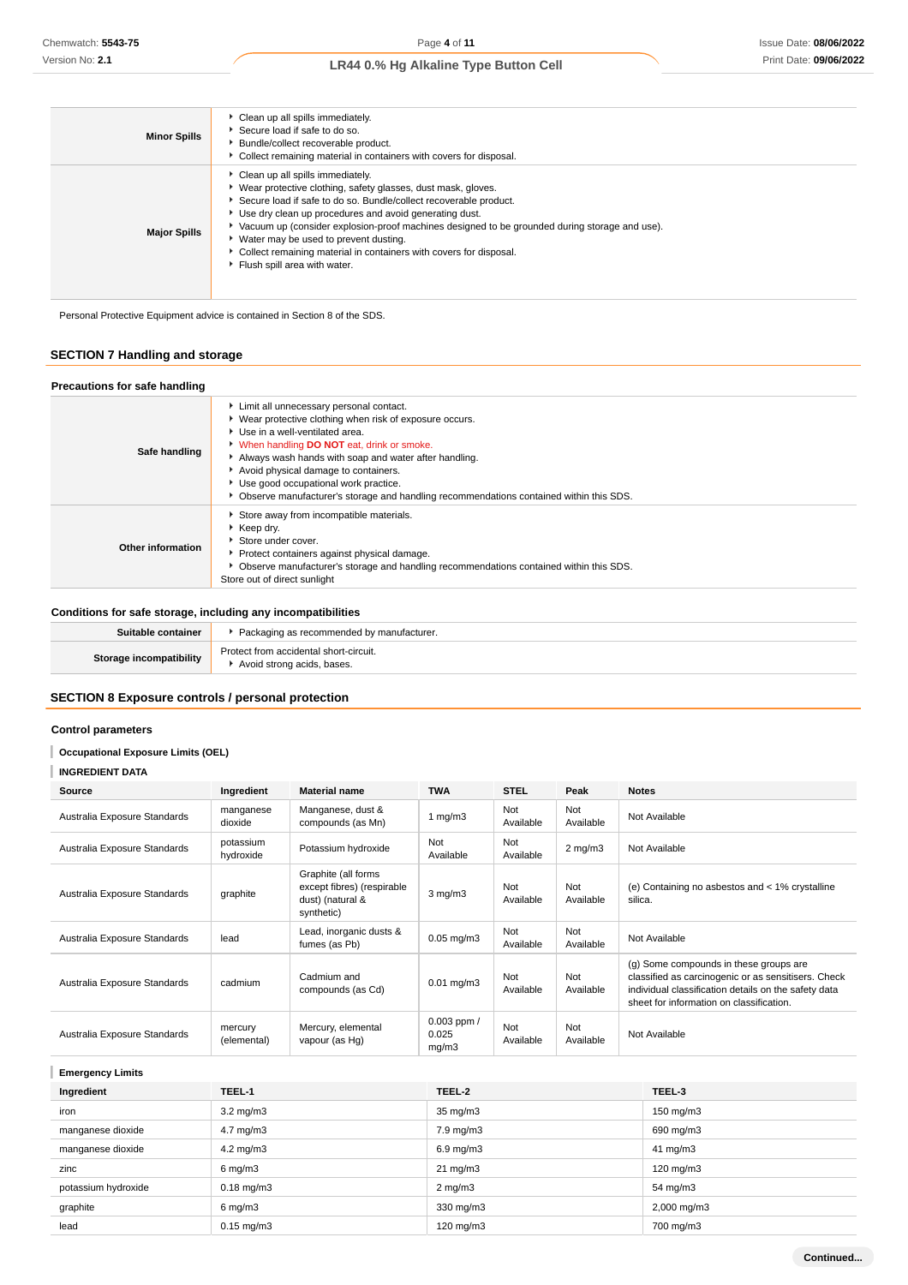| <b>Minor Spills</b> | Clean up all spills immediately.<br>Secure load if safe to do so.<br>Bundle/collect recoverable product.<br>Collect remaining material in containers with covers for disposal.                                                                                                                                                                                                                                                                                                        |
|---------------------|---------------------------------------------------------------------------------------------------------------------------------------------------------------------------------------------------------------------------------------------------------------------------------------------------------------------------------------------------------------------------------------------------------------------------------------------------------------------------------------|
| <b>Major Spills</b> | Clean up all spills immediately.<br>• Wear protective clothing, safety glasses, dust mask, gloves.<br>Secure load if safe to do so. Bundle/collect recoverable product.<br>Use dry clean up procedures and avoid generating dust.<br>▶ Vacuum up (consider explosion-proof machines designed to be grounded during storage and use).<br>▶ Water may be used to prevent dusting.<br>Collect remaining material in containers with covers for disposal.<br>Fiush spill area with water. |

Personal Protective Equipment advice is contained in Section 8 of the SDS.

# **SECTION 7 Handling and storage**

# **Precautions for safe handling** Limit all unnecessary personal contact.

|                   | ▶ Wear protective clothing when risk of exposure occurs.                                 |
|-------------------|------------------------------------------------------------------------------------------|
|                   | Use in a well-ventilated area.                                                           |
|                   | V When handling DO NOT eat, drink or smoke.                                              |
| Safe handling     | Always wash hands with soap and water after handling.                                    |
|                   | Avoid physical damage to containers.                                                     |
|                   | Use good occupational work practice.                                                     |
|                   | • Observe manufacturer's storage and handling recommendations contained within this SDS. |
| Other information | Store away from incompatible materials.                                                  |
|                   | ▶ Keep drv.                                                                              |
|                   | Store under cover.                                                                       |
|                   | Protect containers against physical damage.                                              |
|                   | • Observe manufacturer's storage and handling recommendations contained within this SDS. |
|                   | Store out of direct sunlight                                                             |
|                   |                                                                                          |

# **Conditions for safe storage, including any incompatibilities**

| Suitable container             | Packaging as recommended by manufacturer.                            |
|--------------------------------|----------------------------------------------------------------------|
| <b>Storage incompatibility</b> | Protect from accidental short-circuit.<br>Avoid strong acids, bases. |

### **SECTION 8 Exposure controls / personal protection**

### **Control parameters**

# **Occupational Exposure Limits (OEL)**

| <b>INGREDIENT DATA</b> |
|------------------------|
|                        |

| Source                       | Ingredient             | <b>Material name</b>                                                                | <b>TWA</b>                        | <b>STEL</b>      | Peak             | <b>Notes</b>                                                                                                                                                                                      |
|------------------------------|------------------------|-------------------------------------------------------------------------------------|-----------------------------------|------------------|------------------|---------------------------------------------------------------------------------------------------------------------------------------------------------------------------------------------------|
| Australia Exposure Standards | manganese<br>dioxide   | Manganese, dust &<br>compounds (as Mn)                                              | 1 $mg/m3$                         | Not<br>Available | Not<br>Available | Not Available                                                                                                                                                                                     |
| Australia Exposure Standards | potassium<br>hydroxide | Potassium hydroxide                                                                 | Not<br>Available                  | Not<br>Available | $2$ mg/m $3$     | Not Available                                                                                                                                                                                     |
| Australia Exposure Standards | graphite               | Graphite (all forms<br>except fibres) (respirable<br>dust) (natural &<br>synthetic) | $3$ mg/m $3$                      | Not<br>Available | Not<br>Available | (e) Containing no asbestos and < 1% crystalline<br>silica.                                                                                                                                        |
| Australia Exposure Standards | lead                   | Lead, inorganic dusts &<br>fumes (as Pb)                                            | $0.05$ mg/m $3$                   | Not<br>Available | Not<br>Available | Not Available                                                                                                                                                                                     |
| Australia Exposure Standards | cadmium                | Cadmium and<br>compounds (as Cd)                                                    | $0.01 \text{ mg/m}$ 3             | Not<br>Available | Not<br>Available | (g) Some compounds in these groups are<br>classified as carcinogenic or as sensitisers. Check<br>individual classification details on the safety data<br>sheet for information on classification. |
| Australia Exposure Standards | mercury<br>(elemental) | Mercury, elemental<br>vapour (as Hg)                                                | $0.003$ ppm $/$<br>0.025<br>mq/m3 | Not<br>Available | Not<br>Available | Not Available                                                                                                                                                                                     |

# **Emergency Limits**

| Ingredient          | TEEL-1                | TEEL-2             | TEEL-3                 |
|---------------------|-----------------------|--------------------|------------------------|
| iron                | $3.2 \text{ mg/m}$    | $35 \text{ mg/m}$  | 150 mg/m3              |
| manganese dioxide   | $4.7 \text{ mg/m}$ 3  | 7.9 mg/m3          | 690 mg/m3              |
| manganese dioxide   | $4.2 \text{ mg/m}$ 3  | $6.9 \text{ mg/m}$ | $41 \text{ mg/m}$      |
| zinc                | $6 \text{ mg/m}$ 3    | $21 \text{ mg/m}$  | $120 \text{ mg/m}$     |
| potassium hydroxide | $0.18 \text{ mg/m}$ 3 | $2 \text{ mg/m}$   | 54 mg/m3               |
| graphite            | $6 \text{ mg/m}$ 3    | 330 mg/m3          | $2,000 \text{ mg/m}$ 3 |
| lead                | $0.15$ mg/m $3$       | $120$ mg/m $3$     | 700 mg/m3              |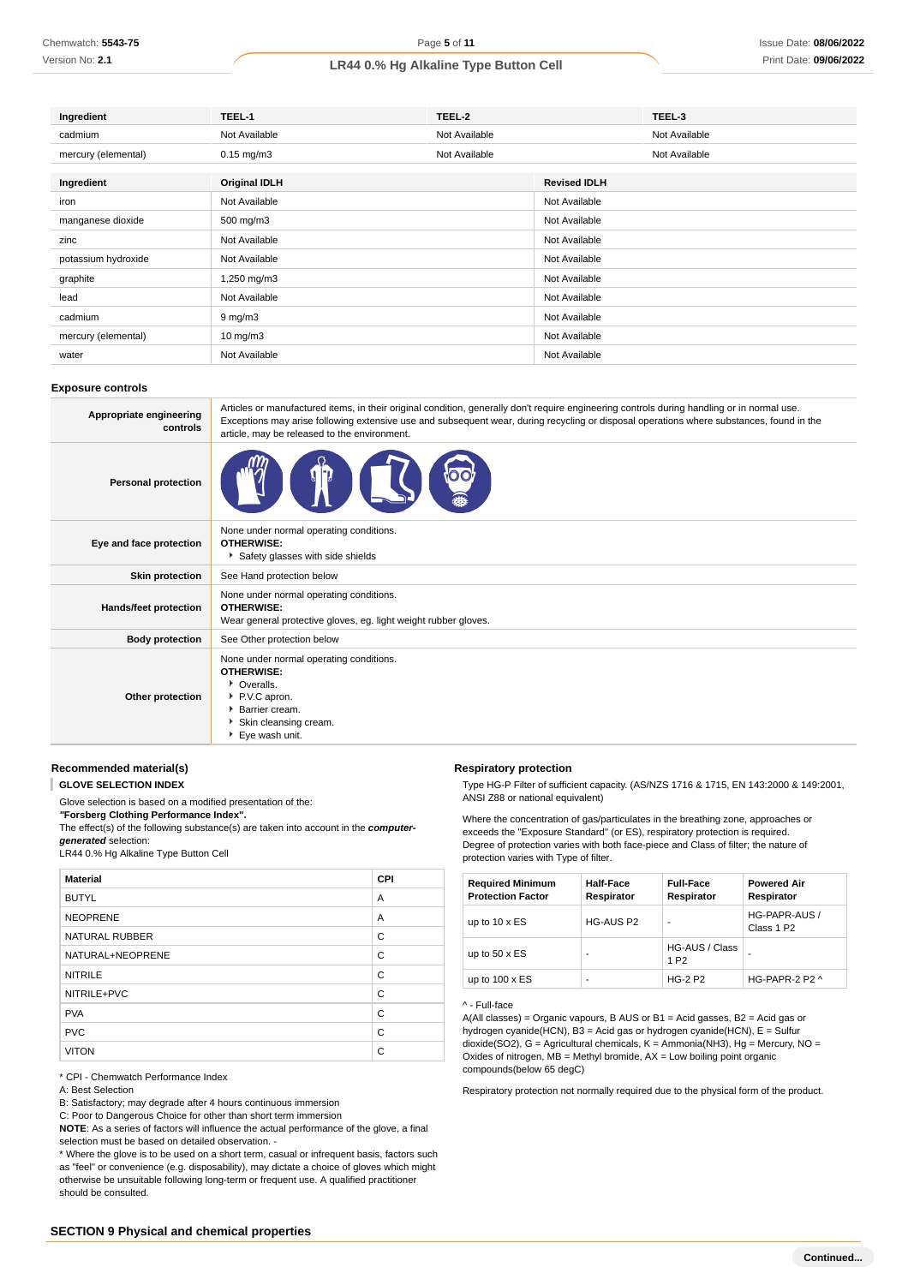Version No: **2.1**

# **LR44 0.% Hg Alkaline Type Button Cell**

| Ingredient          | TEEL-1               | TEEL-2        |                     | TEEL-3        |
|---------------------|----------------------|---------------|---------------------|---------------|
| cadmium             | Not Available        | Not Available |                     | Not Available |
| mercury (elemental) | $0.15$ mg/m $3$      | Not Available |                     | Not Available |
| Ingredient          | <b>Original IDLH</b> |               | <b>Revised IDLH</b> |               |
| iron                | Not Available        |               | Not Available       |               |
| manganese dioxide   | 500 mg/m3            |               | Not Available       |               |
| zinc                | Not Available        |               | Not Available       |               |
| potassium hydroxide | Not Available        |               | Not Available       |               |
| graphite            | 1,250 mg/m3          |               | Not Available       |               |
| lead                | Not Available        |               | Not Available       |               |
| cadmium             | 9 mg/m3              |               | Not Available       |               |
| mercury (elemental) | $10 \text{ mg/m}$ 3  |               | Not Available       |               |
| water               | Not Available        |               | Not Available       |               |

#### **Exposure controls**

| Appropriate engineering<br>controls | Articles or manufactured items, in their original condition, generally don't require engineering controls during handling or in normal use.<br>Exceptions may arise following extensive use and subsequent wear, during recycling or disposal operations where substances, found in the<br>article, may be released to the environment. |
|-------------------------------------|-----------------------------------------------------------------------------------------------------------------------------------------------------------------------------------------------------------------------------------------------------------------------------------------------------------------------------------------|
| <b>Personal protection</b>          |                                                                                                                                                                                                                                                                                                                                         |
| Eye and face protection             | None under normal operating conditions.<br><b>OTHERWISE:</b><br>Safety glasses with side shields                                                                                                                                                                                                                                        |
| <b>Skin protection</b>              | See Hand protection below                                                                                                                                                                                                                                                                                                               |
| Hands/feet protection               | None under normal operating conditions.<br><b>OTHERWISE:</b><br>Wear general protective gloves, eg. light weight rubber gloves.                                                                                                                                                                                                         |
| <b>Body protection</b>              | See Other protection below                                                                                                                                                                                                                                                                                                              |
| Other protection                    | None under normal operating conditions.<br><b>OTHERWISE:</b><br>• Overalls.<br>P.V.C apron.<br>Barrier cream.<br>Skin cleansing cream.<br>Eye wash unit.                                                                                                                                                                                |

# **Recommended material(s)**

T **GLOVE SELECTION INDEX**

Glove selection is based on a modified presentation of the:

**"Forsberg Clothing Performance Index".**

The effect(s) of the following substance(s) are taken into account in the **computer-**

**generated** selection:

LR44 0.% Hg Alkaline Type Button Cell

| <b>Material</b>       | <b>CPI</b> |
|-----------------------|------------|
| <b>BUTYL</b>          | A          |
| <b>NEOPRENE</b>       | A          |
| <b>NATURAL RUBBER</b> | C          |
| NATURAL+NEOPRENE      | C          |
| <b>NITRILE</b>        | C          |
| NITRILE+PVC           | C          |
| <b>PVA</b>            | C          |
| <b>PVC</b>            | C          |
| <b>VITON</b>          | C          |

\* CPI - Chemwatch Performance Index

B: Satisfactory; may degrade after 4 hours continuous immersion

C: Poor to Dangerous Choice for other than short term immersion

**NOTE**: As a series of factors will influence the actual performance of the glove, a final selection must be based on detailed observation. -

\* Where the glove is to be used on a short term, casual or infrequent basis, factors such as "feel" or convenience (e.g. disposability), may dictate a choice of gloves which might otherwise be unsuitable following long-term or frequent use. A qualified practitioner should be consulted.

#### **Respiratory protection**

Type HG-P Filter of sufficient capacity. (AS/NZS 1716 & 1715, EN 143:2000 & 149:2001, ANSI Z88 or national equivalent)

Where the concentration of gas/particulates in the breathing zone, approaches or exceeds the "Exposure Standard" (or ES), respiratory protection is required. Degree of protection varies with both face-piece and Class of filter; the nature of protection varies with Type of filter.

| <b>Required Minimum</b><br><b>Protection Factor</b> | <b>Half-Face</b><br>Respirator | <b>Full-Face</b><br>Respirator     | <b>Powered Air</b><br>Respirator        |
|-----------------------------------------------------|--------------------------------|------------------------------------|-----------------------------------------|
| up to $10 \times ES$                                | <b>HG-AUS P2</b>               | $\blacksquare$                     | HG-PAPR-AUS /<br>Class 1 P <sub>2</sub> |
| up to $50 \times ES$                                |                                | HG-AUS / Class<br>1 P <sub>2</sub> |                                         |
| up to $100 \times ES$                               |                                | <b>HG-2 P2</b>                     | HG-PAPR-2 P2 ^                          |

#### ^ - Full-face

A(All classes) = Organic vapours, B AUS or B1 = Acid gasses, B2 = Acid gas or hydrogen cyanide(HCN), B3 = Acid gas or hydrogen cyanide(HCN), E = Sulfur dioxide(SO2), G = Agricultural chemicals, K = Ammonia(NH3), Hg = Mercury, NO = Oxides of nitrogen,  $MB =$  Methyl bromide,  $AX =$  Low boiling point organic compounds(below 65 degC)

Respiratory protection not normally required due to the physical form of the product.

A: Best Selection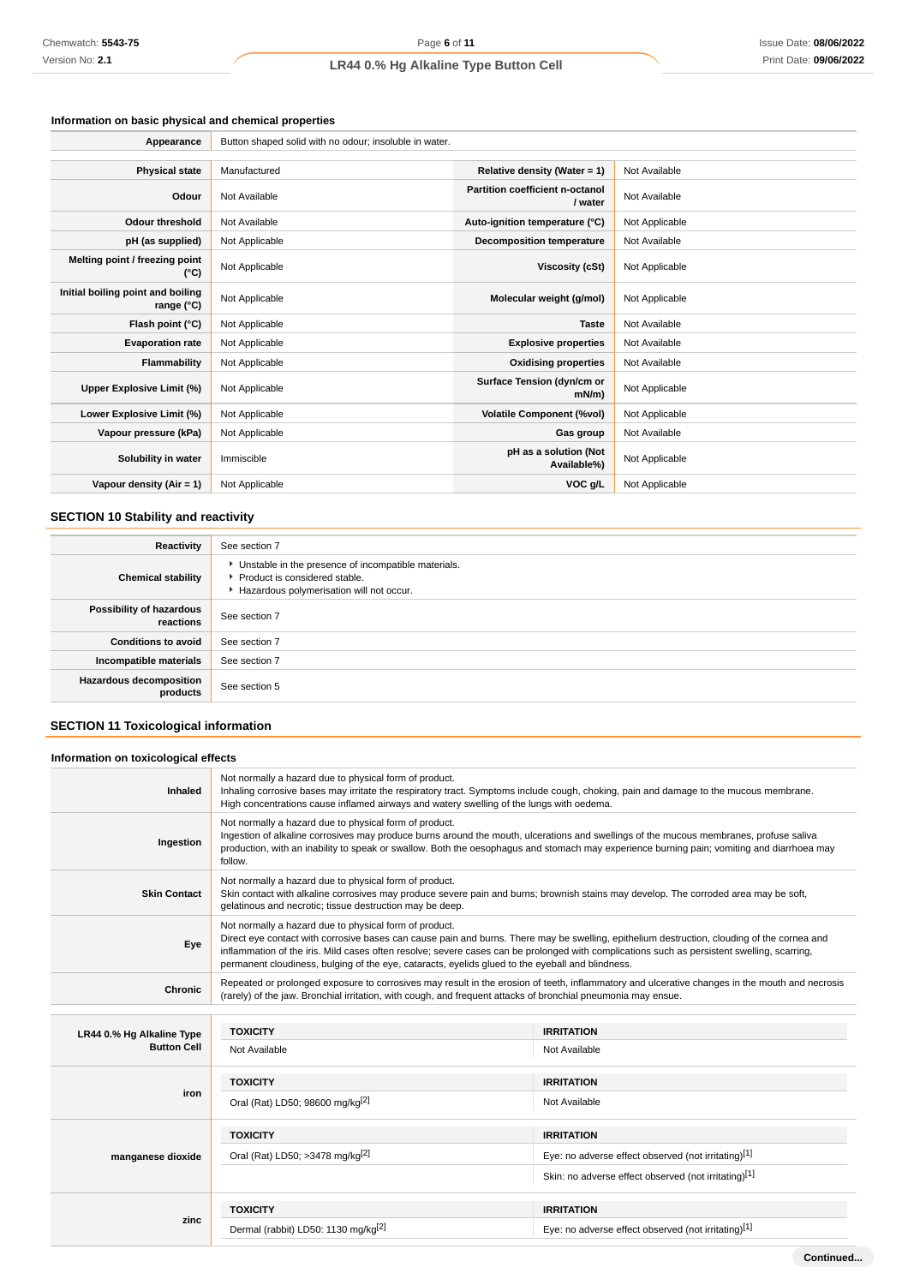# **Information on basic physical and chemical properties**

| Appearance                                      | Button shaped solid with no odour; insoluble in water. |                                            |                |  |  |
|-------------------------------------------------|--------------------------------------------------------|--------------------------------------------|----------------|--|--|
|                                                 |                                                        |                                            |                |  |  |
| <b>Physical state</b>                           | Manufactured                                           | Relative density (Water = 1)               | Not Available  |  |  |
| Odour                                           | Not Available                                          | Partition coefficient n-octanol<br>/ water | Not Available  |  |  |
| <b>Odour threshold</b>                          | Not Available                                          | Auto-ignition temperature (°C)             | Not Applicable |  |  |
| pH (as supplied)                                | Not Applicable                                         | <b>Decomposition temperature</b>           | Not Available  |  |  |
| Melting point / freezing point<br>(°C)          | Not Applicable                                         | Viscosity (cSt)                            | Not Applicable |  |  |
| Initial boiling point and boiling<br>range (°C) | Not Applicable                                         | Molecular weight (g/mol)                   | Not Applicable |  |  |
| Flash point (°C)                                | Not Applicable                                         | <b>Taste</b>                               | Not Available  |  |  |
| <b>Evaporation rate</b>                         | Not Applicable                                         | <b>Explosive properties</b>                | Not Available  |  |  |
| Flammability                                    | Not Applicable                                         | <b>Oxidising properties</b>                | Not Available  |  |  |
| Upper Explosive Limit (%)                       | Not Applicable                                         | Surface Tension (dyn/cm or<br>$mN/m$ )     | Not Applicable |  |  |
| Lower Explosive Limit (%)                       | Not Applicable                                         | <b>Volatile Component (%vol)</b>           | Not Applicable |  |  |
| Vapour pressure (kPa)                           | Not Applicable                                         | Gas group                                  | Not Available  |  |  |
| Solubility in water                             | Immiscible                                             | pH as a solution (Not<br>Available%)       | Not Applicable |  |  |
| Vapour density $(Air = 1)$                      | Not Applicable                                         | VOC g/L                                    | Not Applicable |  |  |

# **SECTION 10 Stability and reactivity**

| Reactivity                                 | See section 7                                                                                                                        |
|--------------------------------------------|--------------------------------------------------------------------------------------------------------------------------------------|
| <b>Chemical stability</b>                  | • Unstable in the presence of incompatible materials.<br>▶ Product is considered stable.<br>Hazardous polymerisation will not occur. |
| Possibility of hazardous<br>reactions      | See section 7                                                                                                                        |
| <b>Conditions to avoid</b>                 | See section 7                                                                                                                        |
| Incompatible materials                     | See section 7                                                                                                                        |
| <b>Hazardous decomposition</b><br>products | See section 5                                                                                                                        |

# **SECTION 11 Toxicological information**

| Information on toxicological effects |                                                                                                                                                                                                                                                                                                                                                                                                                                                          |                   |
|--------------------------------------|----------------------------------------------------------------------------------------------------------------------------------------------------------------------------------------------------------------------------------------------------------------------------------------------------------------------------------------------------------------------------------------------------------------------------------------------------------|-------------------|
| <b>Inhaled</b>                       | Not normally a hazard due to physical form of product.<br>Inhaling corrosive bases may irritate the respiratory tract. Symptoms include cough, choking, pain and damage to the mucous membrane.<br>High concentrations cause inflamed airways and watery swelling of the lungs with oedema.                                                                                                                                                              |                   |
| Ingestion                            | Not normally a hazard due to physical form of product.<br>Ingestion of alkaline corrosives may produce burns around the mouth, ulcerations and swellings of the mucous membranes, profuse saliva<br>production, with an inability to speak or swallow. Both the oesophagus and stomach may experience burning pain; vomiting and diarrhoea may<br>follow.                                                                                                |                   |
| <b>Skin Contact</b>                  | Not normally a hazard due to physical form of product.<br>Skin contact with alkaline corrosives may produce severe pain and burns; brownish stains may develop. The corroded area may be soft,<br>gelatinous and necrotic; tissue destruction may be deep.                                                                                                                                                                                               |                   |
| Eye                                  | Not normally a hazard due to physical form of product.<br>Direct eye contact with corrosive bases can cause pain and burns. There may be swelling, epithelium destruction, clouding of the cornea and<br>inflammation of the iris. Mild cases often resolve; severe cases can be prolonged with complications such as persistent swelling, scarring,<br>permanent cloudiness, bulging of the eye, cataracts, eyelids glued to the eyeball and blindness. |                   |
| Chronic                              | Repeated or prolonged exposure to corrosives may result in the erosion of teeth, inflammatory and ulcerative changes in the mouth and necrosis<br>(rarely) of the jaw. Bronchial irritation, with cough, and frequent attacks of bronchial pneumonia may ensue.                                                                                                                                                                                          |                   |
|                                      |                                                                                                                                                                                                                                                                                                                                                                                                                                                          |                   |
|                                      | <b>TOVICITY</b>                                                                                                                                                                                                                                                                                                                                                                                                                                          | <b>IDDITATION</b> |

| LR44 0.% Hg Alkaline Type<br><b>Button Cell</b> | <b>TOXICITY</b>                                 | <b>IRRITATION</b>                                    |
|-------------------------------------------------|-------------------------------------------------|------------------------------------------------------|
|                                                 | Not Available                                   | Not Available                                        |
|                                                 | <b>TOXICITY</b>                                 | <b>IRRITATION</b>                                    |
| iron                                            | Oral (Rat) LD50; 98600 mg/kg <sup>[2]</sup>     | Not Available                                        |
| manganese dioxide                               | <b>TOXICITY</b>                                 | <b>IRRITATION</b>                                    |
|                                                 | Oral (Rat) LD50; >3478 mg/kg <sup>[2]</sup>     | Eye: no adverse effect observed (not irritating)[1]  |
|                                                 |                                                 | Skin: no adverse effect observed (not irritating)[1] |
| zinc                                            | <b>TOXICITY</b>                                 | <b>IRRITATION</b>                                    |
|                                                 | Dermal (rabbit) LD50: 1130 mg/kg <sup>[2]</sup> | Eye: no adverse effect observed (not irritating)[1]  |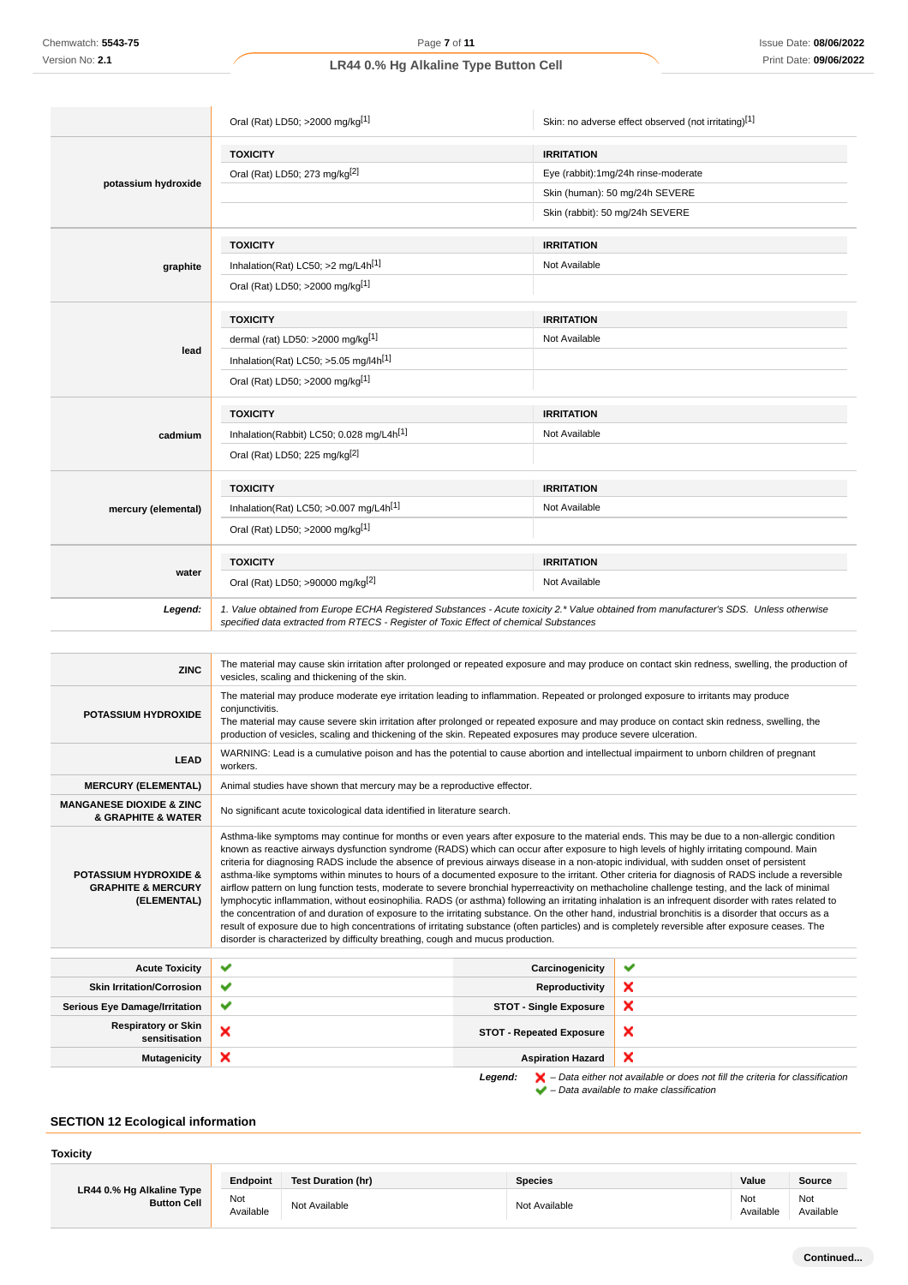|                                                           | Oral (Rat) LD50; >2000 mg/kg <sup>[1]</sup>                                                                                                                                                                                                                                                                                                                                                                        | Skin: no adverse effect observed (not irritating)[1]                                                                                                                                                                                                                                                                                                                                                                                                                                                                                                                                             |  |
|-----------------------------------------------------------|--------------------------------------------------------------------------------------------------------------------------------------------------------------------------------------------------------------------------------------------------------------------------------------------------------------------------------------------------------------------------------------------------------------------|--------------------------------------------------------------------------------------------------------------------------------------------------------------------------------------------------------------------------------------------------------------------------------------------------------------------------------------------------------------------------------------------------------------------------------------------------------------------------------------------------------------------------------------------------------------------------------------------------|--|
|                                                           | <b>TOXICITY</b>                                                                                                                                                                                                                                                                                                                                                                                                    | <b>IRRITATION</b>                                                                                                                                                                                                                                                                                                                                                                                                                                                                                                                                                                                |  |
|                                                           | Oral (Rat) LD50; 273 mg/kg <sup>[2]</sup>                                                                                                                                                                                                                                                                                                                                                                          | Eye (rabbit):1mg/24h rinse-moderate                                                                                                                                                                                                                                                                                                                                                                                                                                                                                                                                                              |  |
| potassium hydroxide                                       |                                                                                                                                                                                                                                                                                                                                                                                                                    | Skin (human): 50 mg/24h SEVERE                                                                                                                                                                                                                                                                                                                                                                                                                                                                                                                                                                   |  |
|                                                           |                                                                                                                                                                                                                                                                                                                                                                                                                    | Skin (rabbit): 50 mg/24h SEVERE                                                                                                                                                                                                                                                                                                                                                                                                                                                                                                                                                                  |  |
|                                                           | <b>TOXICITY</b>                                                                                                                                                                                                                                                                                                                                                                                                    | <b>IRRITATION</b>                                                                                                                                                                                                                                                                                                                                                                                                                                                                                                                                                                                |  |
| graphite                                                  | Inhalation(Rat) LC50; >2 mg/L4h[1]                                                                                                                                                                                                                                                                                                                                                                                 | Not Available                                                                                                                                                                                                                                                                                                                                                                                                                                                                                                                                                                                    |  |
|                                                           | Oral (Rat) LD50; >2000 mg/kg[1]                                                                                                                                                                                                                                                                                                                                                                                    |                                                                                                                                                                                                                                                                                                                                                                                                                                                                                                                                                                                                  |  |
|                                                           | <b>TOXICITY</b>                                                                                                                                                                                                                                                                                                                                                                                                    | <b>IRRITATION</b>                                                                                                                                                                                                                                                                                                                                                                                                                                                                                                                                                                                |  |
|                                                           | dermal (rat) LD50: >2000 mg/kg[1]                                                                                                                                                                                                                                                                                                                                                                                  | Not Available                                                                                                                                                                                                                                                                                                                                                                                                                                                                                                                                                                                    |  |
| lead                                                      | Inhalation(Rat) LC50; $>5.05$ mg/l4h <sup>[1]</sup>                                                                                                                                                                                                                                                                                                                                                                |                                                                                                                                                                                                                                                                                                                                                                                                                                                                                                                                                                                                  |  |
|                                                           | Oral (Rat) LD50; >2000 mg/kg[1]                                                                                                                                                                                                                                                                                                                                                                                    |                                                                                                                                                                                                                                                                                                                                                                                                                                                                                                                                                                                                  |  |
|                                                           | <b>TOXICITY</b>                                                                                                                                                                                                                                                                                                                                                                                                    | <b>IRRITATION</b>                                                                                                                                                                                                                                                                                                                                                                                                                                                                                                                                                                                |  |
| cadmium                                                   | Inhalation(Rabbit) LC50; 0.028 mg/L4h <sup>[1]</sup>                                                                                                                                                                                                                                                                                                                                                               | Not Available                                                                                                                                                                                                                                                                                                                                                                                                                                                                                                                                                                                    |  |
|                                                           | Oral (Rat) LD50; 225 mg/kg <sup>[2]</sup>                                                                                                                                                                                                                                                                                                                                                                          |                                                                                                                                                                                                                                                                                                                                                                                                                                                                                                                                                                                                  |  |
|                                                           | <b>TOXICITY</b>                                                                                                                                                                                                                                                                                                                                                                                                    | <b>IRRITATION</b>                                                                                                                                                                                                                                                                                                                                                                                                                                                                                                                                                                                |  |
| mercury (elemental)                                       | Inhalation(Rat) LC50; $>0.007$ mg/L4h <sup>[1]</sup>                                                                                                                                                                                                                                                                                                                                                               | Not Available                                                                                                                                                                                                                                                                                                                                                                                                                                                                                                                                                                                    |  |
|                                                           | Oral (Rat) LD50; >2000 mg/kg <sup>[1]</sup>                                                                                                                                                                                                                                                                                                                                                                        |                                                                                                                                                                                                                                                                                                                                                                                                                                                                                                                                                                                                  |  |
|                                                           | <b>TOXICITY</b>                                                                                                                                                                                                                                                                                                                                                                                                    | <b>IRRITATION</b>                                                                                                                                                                                                                                                                                                                                                                                                                                                                                                                                                                                |  |
| water                                                     | Oral (Rat) LD50; >90000 mg/kg[2]                                                                                                                                                                                                                                                                                                                                                                                   | Not Available                                                                                                                                                                                                                                                                                                                                                                                                                                                                                                                                                                                    |  |
| Legend:                                                   | 1. Value obtained from Europe ECHA Registered Substances - Acute toxicity 2.* Value obtained from manufacturer's SDS. Unless otherwise<br>specified data extracted from RTECS - Register of Toxic Effect of chemical Substances                                                                                                                                                                                    |                                                                                                                                                                                                                                                                                                                                                                                                                                                                                                                                                                                                  |  |
|                                                           |                                                                                                                                                                                                                                                                                                                                                                                                                    |                                                                                                                                                                                                                                                                                                                                                                                                                                                                                                                                                                                                  |  |
| <b>ZINC</b>                                               | The material may cause skin irritation after prolonged or repeated exposure and may produce on contact skin redness, swelling, the production of<br>vesicles, scaling and thickening of the skin.                                                                                                                                                                                                                  |                                                                                                                                                                                                                                                                                                                                                                                                                                                                                                                                                                                                  |  |
| <b>POTASSIUM HYDROXIDE</b>                                | The material may produce moderate eye irritation leading to inflammation. Repeated or prolonged exposure to irritants may produce<br>conjunctivitis.<br>The material may cause severe skin irritation after prolonged or repeated exposure and may produce on contact skin redness, swelling, the<br>production of vesicles, scaling and thickening of the skin. Repeated exposures may produce severe ulceration. |                                                                                                                                                                                                                                                                                                                                                                                                                                                                                                                                                                                                  |  |
| <b>LEAD</b>                                               | workers.                                                                                                                                                                                                                                                                                                                                                                                                           | WARNING: Lead is a cumulative poison and has the potential to cause abortion and intellectual impairment to unborn children of pregnant                                                                                                                                                                                                                                                                                                                                                                                                                                                          |  |
| <b>MERCURY (ELEMENTAL)</b>                                | Animal studies have shown that mercury may be a reproductive effector.                                                                                                                                                                                                                                                                                                                                             |                                                                                                                                                                                                                                                                                                                                                                                                                                                                                                                                                                                                  |  |
| <b>MANGANESE DIOXIDE &amp; ZINC</b><br>& GRAPHITE & WATER | No significant acute toxicological data identified in literature search.                                                                                                                                                                                                                                                                                                                                           |                                                                                                                                                                                                                                                                                                                                                                                                                                                                                                                                                                                                  |  |
| <b>DOTACOURS UVDDOVIDE 9</b>                              |                                                                                                                                                                                                                                                                                                                                                                                                                    | Asthma-like symptoms may continue for months or even years after exposure to the material ends. This may be due to a non-allergic condition<br>known as reactive airways dysfunction syndrome (RADS) which can occur after exposure to high levels of highly irritating compound. Main<br>criteria for diagnosing RADS include the absence of previous airways disease in a non-atopic individual, with sudden onset of persistent<br>a collector polonista e la compa de la disponsa sola di son service de dels footened. Adema soldante del dispo<br>$\mathcal{L}$ $\mathcal{L}$ DADO is also |  |

**POTASSIUM HYDROXIDE & GRAPHITE & MERCURY (ELEMENTAL)** asthma-like symptoms within minutes to hours of a documented exposure to the irritant. Other criteria for diagnosis of RADS include a reversible airflow pattern on lung function tests, moderate to severe bronchial hyperreactivity on methacholine challenge testing, and the lack of minimal lymphocytic inflammation, without eosinophilia. RADS (or asthma) following an irritating inhalation is an infrequent disorder with rates related to the concentration of and duration of exposure to the irritating substance. On the other hand, industrial bronchitis is a disorder that occurs as a result of exposure due to high concentrations of irritating substance (often particles) and is completely reversible after exposure ceases. The disorder is characterized by difficulty breathing, cough and mucus production.

| <b>Acute Toxicity</b>                       | $\checkmark$ | Carcinogenicity                 | v                                                                                                  |
|---------------------------------------------|--------------|---------------------------------|----------------------------------------------------------------------------------------------------|
| <b>Skin Irritation/Corrosion</b>            | ✔            | Reproductivity                  | ж                                                                                                  |
| <b>Serious Eye Damage/Irritation</b>        | $\checkmark$ | <b>STOT - Single Exposure</b>   | ×                                                                                                  |
| <b>Respiratory or Skin</b><br>sensitisation | ×            | <b>STOT - Repeated Exposure</b> | ×                                                                                                  |
| <b>Mutagenicity</b>                         | ×            | <b>Aspiration Hazard</b>        | ×                                                                                                  |
|                                             |              | Legend:                         | $\blacktriangleright$ – Data either not available or does not fill the criteria for classification |

 $\blacktriangleright$  – Data available to make classification

# **SECTION 12 Ecological information**

#### **Toxicity LR44 0.% Hg Alkaline Type Button Cell Endpoint Test Duration (hr) Species Value Source** Not<br>Available Not Not Available Not Available Not Available Not Available Not Available Not Ava<br>Available Ava Available Not Available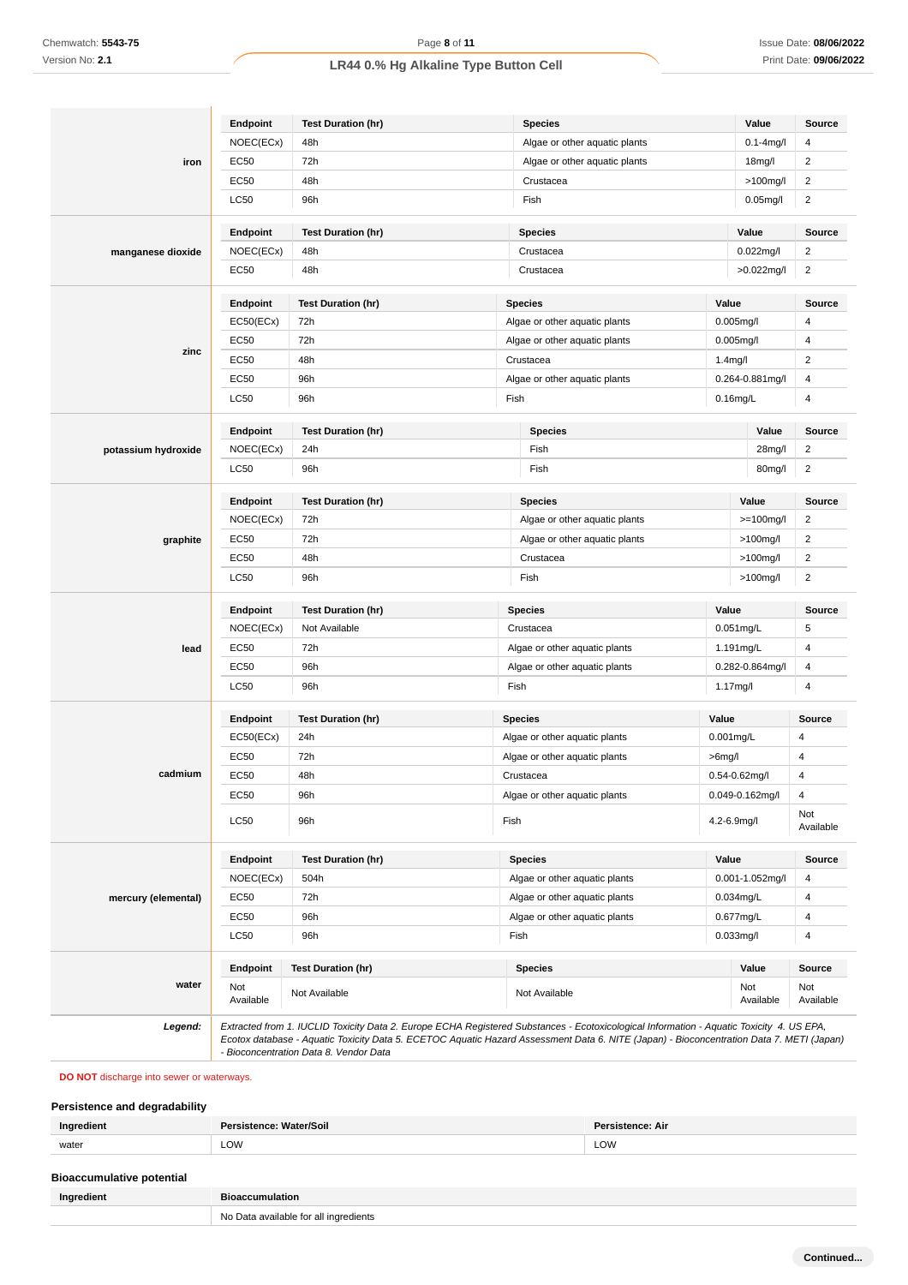|                     | Endpoint         | <b>Test Duration (hr)</b> | <b>Species</b>                |                      | Value               | <b>Source</b>           |
|---------------------|------------------|---------------------------|-------------------------------|----------------------|---------------------|-------------------------|
|                     | NOEC(ECx)        | 48h                       | Algae or other aquatic plants |                      | $0.1 - 4$ mg/l      | 4                       |
| iron                | EC50             | 72h                       | Algae or other aquatic plants |                      | 18 <sub>mg</sub> /l | $\overline{c}$          |
|                     | EC50             | 48h                       | Crustacea                     |                      | $>100$ mg/l         | $\overline{\mathbf{c}}$ |
|                     | LC50             | 96h                       | Fish                          |                      | $0.05$ mg/l         | $\overline{2}$          |
|                     | Endpoint         | <b>Test Duration (hr)</b> | <b>Species</b>                |                      | Value               | Source                  |
| manganese dioxide   | NOEC(ECx)        | 48h                       | Crustacea                     |                      | 0.022mg/l           | $\overline{2}$          |
|                     | EC50             | 48h                       | Crustacea                     |                      | >0.022mg/l          | $\overline{2}$          |
|                     | Endpoint         | <b>Test Duration (hr)</b> | <b>Species</b>                | Value                |                     | Source                  |
|                     | EC50(ECx)        | 72h                       | Algae or other aquatic plants | $0.005$ mg/l         |                     | 4                       |
|                     | <b>EC50</b>      | 72h                       | Algae or other aquatic plants | $0.005$ mg/l         |                     | 4                       |
| zinc                | EC50             | 48h                       | Crustacea                     | 1.4 <sub>mg</sub> /l |                     | $\overline{c}$          |
|                     | EC50             | 96h                       | Algae or other aquatic plants |                      | 0.264-0.881mg/l     | 4                       |
|                     | <b>LC50</b>      | 96h                       | Fish                          | $0.16$ mg/L          |                     | 4                       |
|                     | Endpoint         | <b>Test Duration (hr)</b> | <b>Species</b>                |                      | Value               | <b>Source</b>           |
| potassium hydroxide | NOEC(ECx)        | 24h                       | Fish                          |                      | 28mg/l              | $\overline{2}$          |
|                     | <b>LC50</b>      | 96h                       | Fish                          |                      | 80mg/l              | $\overline{\mathbf{c}}$ |
|                     | Endpoint         | <b>Test Duration (hr)</b> | <b>Species</b>                |                      | Value               | <b>Source</b>           |
|                     | NOEC(ECx)        | 72h                       | Algae or other aquatic plants |                      | $>=100$ mg/l        | $\overline{c}$          |
| graphite            | EC50             | 72h                       | Algae or other aquatic plants |                      | $>100$ mg/l         | $\overline{2}$          |
|                     | <b>EC50</b>      | 48h                       | Crustacea                     |                      | $>100$ mg/l         | 2                       |
|                     | <b>LC50</b>      | 96h                       | Fish                          |                      | $>100$ mg/l         | 2                       |
|                     | Endpoint         | <b>Test Duration (hr)</b> | <b>Species</b>                | Value                |                     | Source                  |
|                     | NOEC(ECx)        | Not Available             | Crustacea                     | 0.051mg/L            |                     | 5                       |
| lead                | <b>EC50</b>      | 72h                       | Algae or other aquatic plants | 1.191mg/L            |                     | 4                       |
|                     | EC50             | 96h                       | Algae or other aquatic plants |                      | 0.282-0.864mg/l     | 4                       |
|                     | <b>LC50</b>      | 96h                       | Fish                          | 1.17mg/l             |                     | 4                       |
|                     | Endpoint         | <b>Test Duration (hr)</b> | <b>Species</b>                | Value                |                     | Source                  |
|                     | EC50(ECx)        | 24h                       | Algae or other aquatic plants | $0.001$ mg/L         |                     | 4                       |
|                     | EC50             | 72h                       | Algae or other aquatic plants | $>6$ mg/l            |                     | 4                       |
| cadmium             | <b>EC50</b>      | 48h                       | Crustacea                     | 0.54-0.62mg/l        |                     | $\overline{4}$          |
|                     | EC50             | 96h                       | Algae or other aquatic plants |                      | 0.049-0.162mg/l     | $\overline{4}$          |
|                     | LC50             | 96h                       | Fish                          | 4.2-6.9mg/l          |                     | Not<br>Available        |
|                     | Endpoint         | <b>Test Duration (hr)</b> | <b>Species</b>                | Value                |                     | Source                  |
|                     | NOEC(ECx)        | 504h                      | Algae or other aquatic plants |                      | 0.001-1.052mg/l     | 4                       |
| mercury (elemental) | EC50             | 72h                       | Algae or other aquatic plants | 0.034mg/L            |                     | 4                       |
|                     | EC50             | 96h                       | Algae or other aquatic plants | 0.677mg/L            |                     | $\overline{4}$          |
|                     | <b>LC50</b>      | 96h                       | Fish                          | $0.033$ mg/l         |                     | 4                       |
|                     | Endpoint         | <b>Test Duration (hr)</b> | <b>Species</b>                |                      | Value               | Source                  |
| water               | Not<br>Available | Not Available             | Not Available                 |                      | Not<br>Available    | Not<br>Available        |

### **DO NOT** discharge into sewer or waterways.

# **Persistence and degradability**

| Ina   | п.<br>Vater/Soil | ence: Air  |
|-------|------------------|------------|
| water | LOW              | <b>LOW</b> |

| <b>Bioaccumulative potential</b> |                                       |
|----------------------------------|---------------------------------------|
| Ingredient                       | <b>Bioaccumulation</b>                |
|                                  | No Data available for all ingredients |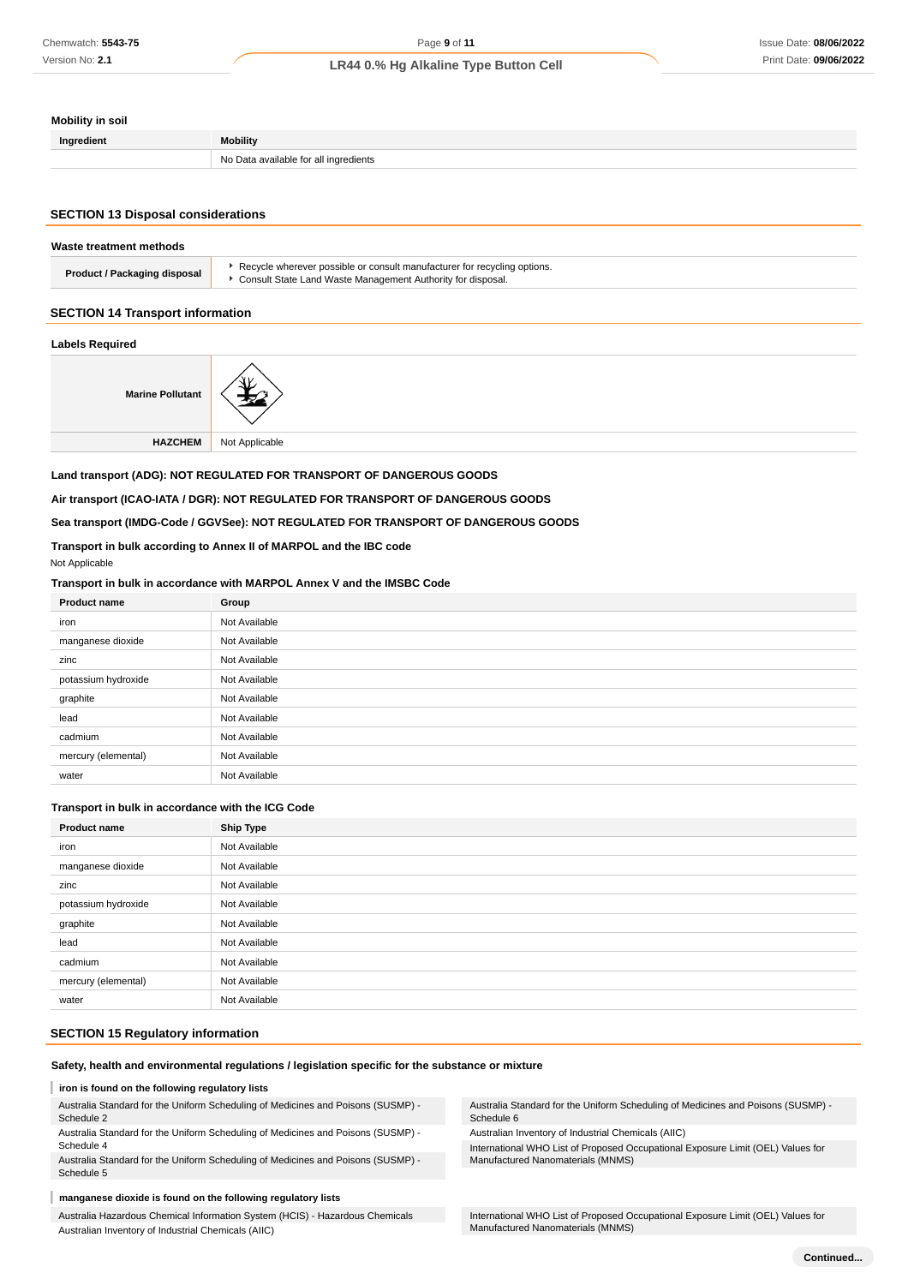# **Mobility in soil**

| Ingredient | <b>Mobility</b>                                 |
|------------|-------------------------------------------------|
|            | ' inaredients<br>No l<br>ംവില⊀ available for ≘" |

### **SECTION 13 Disposal considerations**

| Waste treatment methods             |                                                                                                                                             |  |
|-------------------------------------|---------------------------------------------------------------------------------------------------------------------------------------------|--|
| <b>Product / Packaging disposal</b> | ▶ Recycle wherever possible or consult manufacturer for recycling options.<br>▶ Consult State Land Waste Management Authority for disposal. |  |
|                                     |                                                                                                                                             |  |

# **SECTION 14 Transport information**

### **Labels Required**

| <b>Marine Pollutant</b> |                |
|-------------------------|----------------|
| <b>HAZCHEM</b>          | Not Applicable |

### **Land transport (ADG): NOT REGULATED FOR TRANSPORT OF DANGEROUS GOODS**

#### **Air transport (ICAO-IATA / DGR): NOT REGULATED FOR TRANSPORT OF DANGEROUS GOODS**

#### **Sea transport (IMDG-Code / GGVSee): NOT REGULATED FOR TRANSPORT OF DANGEROUS GOODS**

#### **Transport in bulk according to Annex II of MARPOL and the IBC code** Not Applicable

#### **Transport in bulk in accordance with MARPOL Annex V and the IMSBC Code**

| <b>Product name</b> | Group         |
|---------------------|---------------|
| iron                | Not Available |
| manganese dioxide   | Not Available |
| zinc                | Not Available |
| potassium hydroxide | Not Available |
| graphite            | Not Available |
| lead                | Not Available |
| cadmium             | Not Available |
| mercury (elemental) | Not Available |
| water               | Not Available |

### **Transport in bulk in accordance with the ICG Code**

| <b>Product name</b> | <b>Ship Type</b> |
|---------------------|------------------|
| iron                | Not Available    |
| manganese dioxide   | Not Available    |
| zinc                | Not Available    |
| potassium hydroxide | Not Available    |
| graphite            | Not Available    |
| lead                | Not Available    |
| cadmium             | Not Available    |
| mercury (elemental) | Not Available    |
| water               | Not Available    |

### **SECTION 15 Regulatory information**

### **Safety, health and environmental regulations / legislation specific for the substance or mixture**

### **iron is found on the following regulatory lists**

Australia Standard for the Uniform Scheduling of Medicines and Poisons (SUSMP) - Schedule 2

Australia Standard for the Uniform Scheduling of Medicines and Poisons (SUSMP) - Schedule 4

Australia Standard for the Uniform Scheduling of Medicines and Poisons (SUSMP) - Schedule 5

### **manganese dioxide is found on the following regulatory lists**

Australia Hazardous Chemical Information System (HCIS) - Hazardous Chemicals Australian Inventory of Industrial Chemicals (AIIC)

Australia Standard for the Uniform Scheduling of Medicines and Poisons (SUSMP) - Schedule 6

Australian Inventory of Industrial Chemicals (AIIC)

International WHO List of Proposed Occupational Exposure Limit (OEL) Values for Manufactured Nanomaterials (MNMS)

International WHO List of Proposed Occupational Exposure Limit (OEL) Values for Manufactured Nanomaterials (MNMS)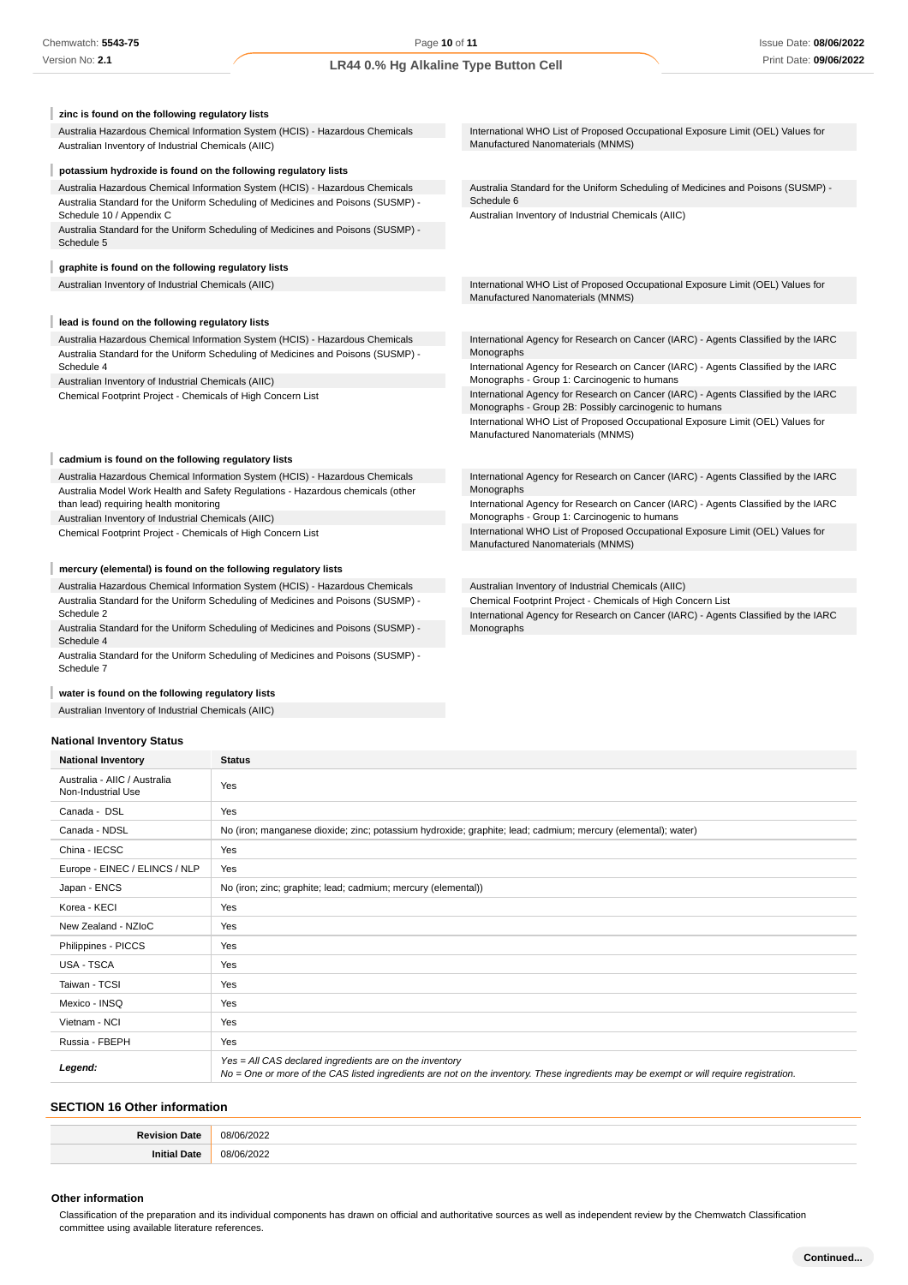**zinc is found on the following regulatory lists** Australia Hazardous Chemical Information System (HCIS) - Hazardous Chemicals International WHO List of Proposed Occupational Exposure Limit (OEL) Values for Manufactured Nanomaterials (MNMS) Australian Inventory of Industrial Chemicals (AIIC) ı **potassium hydroxide is found on the following regulatory lists** Australia Hazardous Chemical Information System (HCIS) - Hazardous Chemicals Australia Standard for the Uniform Scheduling of Medicines and Poisons (SUSMP) - Australia Standard for the Uniform Scheduling of Medicines and Poisons (SUSMP) - Schedule 6 Schedule 10 / Appendix C Australian Inventory of Industrial Chemicals (AIIC) Australia Standard for the Uniform Scheduling of Medicines and Poisons (SUSMP) - Schedule 5 **graphite is found on the following regulatory lists** Australian Inventory of Industrial Chemicals (AIIC) **International WHO List of Proposed Occupational Exposure Limit (OEL)** Values for Manufactured Nanomaterials (MNMS) **lead is found on the following regulatory lists** Australia Hazardous Chemical Information System (HCIS) - Hazardous Chemicals International Agency for Research on Cancer (IARC) - Agents Classified by the IARC Australia Standard for the Uniform Scheduling of Medicines and Poisons (SUSMP) - Monographs International Agency for Research on Cancer (IARC) - Agents Classified by the IARC Schedule 4 Australian Inventory of Industrial Chemicals (AIIC) Monographs - Group 1: Carcinogenic to humans International Agency for Research on Cancer (IARC) - Agents Classified by the IARC Chemical Footprint Project - Chemicals of High Concern List Monographs - Group 2B: Possibly carcinogenic to humans International WHO List of Proposed Occupational Exposure Limit (OEL) Values for Manufactured Nanomaterials (MNMS) **cadmium is found on the following regulatory lists** Australia Hazardous Chemical Information System (HCIS) - Hazardous Chemicals International Agency for Research on Cancer (IARC) - Agents Classified by the IARC Australia Model Work Health and Safety Regulations - Hazardous chemicals (other Monographs International Agency for Research on Cancer (IARC) - Agents Classified by the IARC than lead) requiring health monitoring Monographs - Group 1: Carcinogenic to humans Australian Inventory of Industrial Chemicals (AIIC) International WHO List of Proposed Occupational Exposure Limit (OEL) Values for Chemical Footprint Project - Chemicals of High Concern List Manufactured Nanomaterials (MNMS) **mercury (elemental) is found on the following regulatory lists** Australia Hazardous Chemical Information System (HCIS) - Hazardous Chemicals Australian Inventory of Industrial Chemicals (AIIC) Australia Standard for the Uniform Scheduling of Medicines and Poisons (SUSMP) - Chemical Footprint Project - Chemicals of High Concern List Schedule 2 International Agency for Research on Cancer (IARC) - Agents Classified by the IARC Australia Standard for the Uniform Scheduling of Medicines and Poisons (SUSMP) - Monographs

#### **water is found on the following regulatory lists**

Australia Standard for the Uniform Scheduling of Medicines and Poisons (SUSMP) -

Australian Inventory of Industrial Chemicals (AIIC)

#### **National Inventory Status**

Schedule 4

Schedule 7

| <b>National Inventory</b>                          | <b>Status</b>                                                                                                                                                                                     |
|----------------------------------------------------|---------------------------------------------------------------------------------------------------------------------------------------------------------------------------------------------------|
| Australia - AIIC / Australia<br>Non-Industrial Use | Yes                                                                                                                                                                                               |
| Canada - DSL                                       | Yes                                                                                                                                                                                               |
| Canada - NDSL                                      | No (iron; manganese dioxide; zinc; potassium hydroxide; graphite; lead; cadmium; mercury (elemental); water)                                                                                      |
| China - IECSC                                      | Yes                                                                                                                                                                                               |
| Europe - EINEC / ELINCS / NLP                      | Yes                                                                                                                                                                                               |
| Japan - ENCS                                       | No (iron; zinc; graphite; lead; cadmium; mercury (elemental))                                                                                                                                     |
| Korea - KECI                                       | Yes                                                                                                                                                                                               |
| New Zealand - NZIoC                                | Yes                                                                                                                                                                                               |
| Philippines - PICCS                                | Yes                                                                                                                                                                                               |
| USA - TSCA                                         | Yes                                                                                                                                                                                               |
| Taiwan - TCSI                                      | Yes                                                                                                                                                                                               |
| Mexico - INSQ                                      | Yes                                                                                                                                                                                               |
| Vietnam - NCI                                      | Yes                                                                                                                                                                                               |
| Russia - FBEPH                                     | Yes                                                                                                                                                                                               |
| Legend:                                            | Yes = All CAS declared ingredients are on the inventory<br>No = One or more of the CAS listed ingredients are not on the inventory. These ingredients may be exempt or will require registration. |

### **SECTION 16 Other information**

| в.  | no. |
|-----|-----|
| е в | ∩o  |

#### **Other information**

Classification of the preparation and its individual components has drawn on official and authoritative sources as well as independent review by the Chemwatch Classification committee using available literature references.